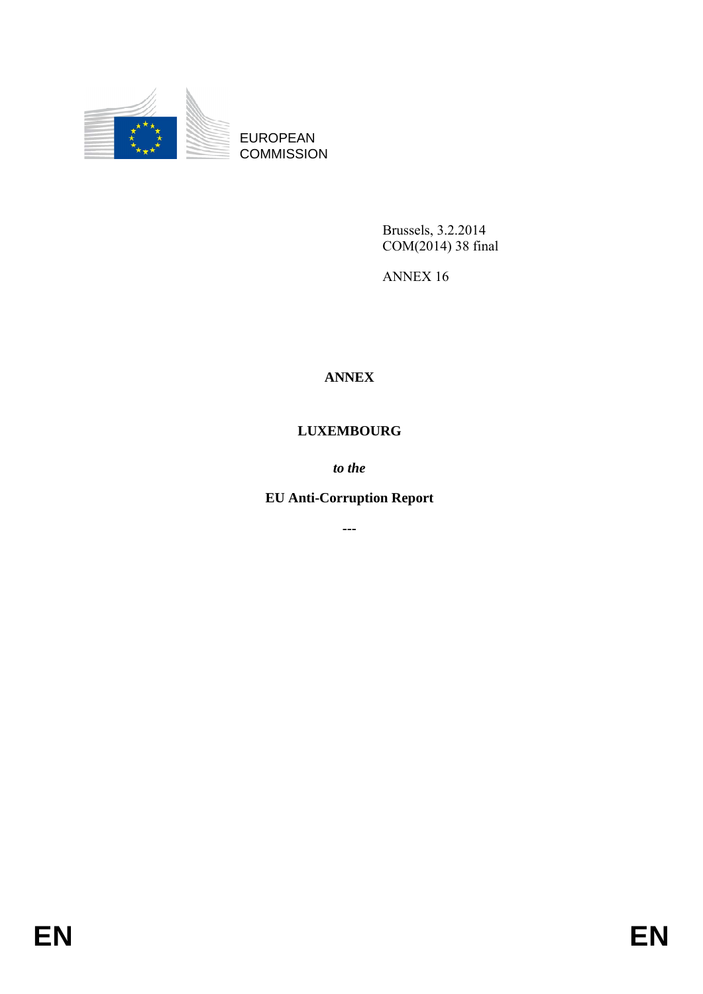

EUROPEAN **COMMISSION** 

> Brussels, 3.2.2014 COM(2014) 38 final

ANNEX 16

# **ANNEX**

# **LUXEMBOURG**

*to the* 

# **EU Anti-Corruption Report**

**---**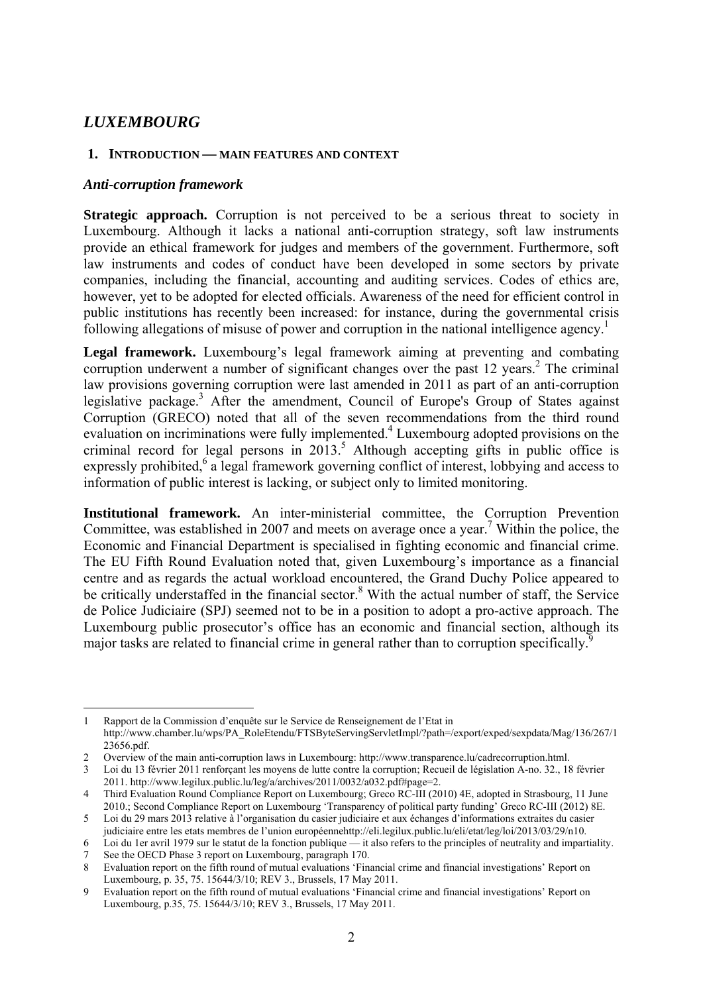# *LUXEMBOURG*

#### **1. INTRODUCTION — MAIN FEATURES AND CONTEXT**

#### *Anti-corruption framework*

**Strategic approach.** Corruption is not perceived to be a serious threat to society in Luxembourg. Although it lacks a national anti-corruption strategy, soft law instruments provide an ethical framework for judges and members of the government. Furthermore, soft law instruments and codes of conduct have been developed in some sectors by private companies, including the financial, accounting and auditing services. Codes of ethics are, however, yet to be adopted for elected officials. Awareness of the need for efficient control in public institutions has recently been increased: for instance, during the governmental crisis following allegations of misuse of power and corruption in the national intelligence agency.<sup>1</sup>

**Legal framework.** Luxembourg's legal framework aiming at preventing and combating corruption underwent a number of significant changes over the past 12 years.<sup>2</sup> The criminal law provisions governing corruption were last amended in 2011 as part of an anti-corruption legislative package.<sup>3</sup> After the amendment, Council of Europe's Group of States against Corruption (GRECO) noted that all of the seven recommendations from the third round evaluation on incriminations were fully implemented.<sup>4</sup> Luxembourg adopted provisions on the criminal record for legal persons in  $2013$ <sup>5</sup> Although accepting gifts in public office is expressly prohibited,<sup>6</sup> a legal framework governing conflict of interest, lobbying and access to information of public interest is lacking, or subject only to limited monitoring.

**Institutional framework.** An inter-ministerial committee, the Corruption Prevention Committee, was established in 2007 and meets on average once a year.<sup>7</sup> Within the police, the Economic and Financial Department is specialised in fighting economic and financial crime. The EU Fifth Round Evaluation noted that, given Luxembourg's importance as a financial centre and as regards the actual workload encountered, the Grand Duchy Police appeared to be critically understaffed in the financial sector.<sup>8</sup> With the actual number of staff, the Service de Police Judiciaire (SPJ) seemed not to be in a position to adopt a pro-active approach. The Luxembourg public prosecutor's office has an economic and financial section, although its major tasks are related to financial crime in general rather than to corruption specifically.<sup>9</sup>

<sup>1</sup> 1 Rapport de la Commission d'enquête sur le Service de Renseignement de l'Etat in http://www.chamber.lu/wps/PA\_RoleEtendu/FTSByteServingServletImpl/?path=/export/exped/sexpdata/Mag/136/267/1 [23656.pdf.](http://www.chamber.lu/wps/PA_RoleEtendu/FTSByteServingServletImpl/?path=/export/exped/sexpdata/Mag/136/267/123656.pdf) 

<sup>2</sup> Overview of the main anti-corruption laws in Luxembourg: http://www.transparence.lu/cadrecorruption.html.

<sup>3</sup> Loi du 13 février 2011 renforçant les moyens de lutte contre la corruption; Recueil de législation A-no. 32., 18 février 2011. http://www.legilux.public.lu/leg/a/archives/2011/0032/a032.pdf#page=2.

<sup>4</sup> Third Evaluation Round Compliance Report on Luxembourg; Greco RC-III (2010) 4E, adopted in Strasbourg, 11 June 2010.; Second Compliance Report on Luxembourg 'Transparency of political party funding' Greco RC-III (2012) 8E.

<sup>5</sup> Loi du 29 mars 2013 relative à l'organisation du casier judiciaire et aux échanges d'informations extraites du casier judiciaire entre les etats membres de l'union européennehttp://eli.legilux.public.lu/eli/etat/leg/loi/2013/03/29/n10.

<sup>6</sup> Loi du 1er avril 1979 sur le statut de la fonction publique — it also refers to the principles of neutrality and impartiality. See the OECD Phase 3 report on Luxembourg, paragraph 170.

<sup>8</sup> Evaluation report on the fifth round of mutual evaluations 'Financial crime and financial investigations' Report on

Luxembourg, p. 35, 75. 15644/3/10; REV 3., Brussels, 17 May 2011.

<sup>9</sup> Evaluation report on the fifth round of mutual evaluations 'Financial crime and financial investigations' Report on Luxembourg, p.35, 75. 15644/3/10; REV 3., Brussels, 17 May 2011.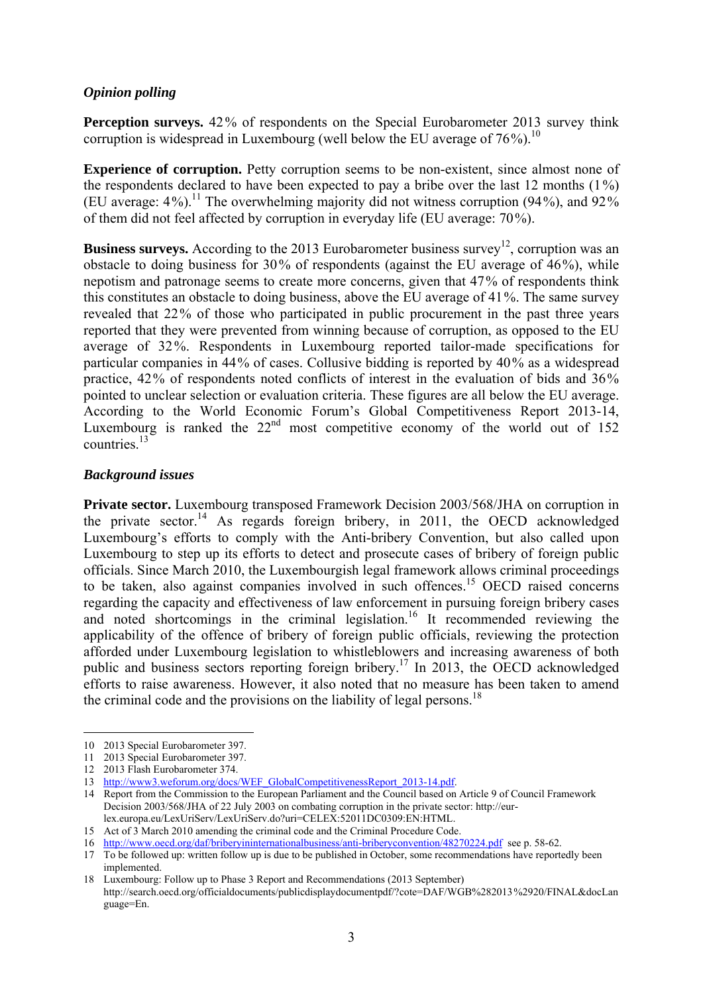## *Opinion polling*

**Perception surveys.** 42% of respondents on the Special Eurobarometer 2013 survey think corruption is widespread in Luxembourg (well below the EU average of  $76\%$ ).<sup>10</sup>

**Experience of corruption.** Petty corruption seems to be non-existent, since almost none of the respondents declared to have been expected to pay a bribe over the last 12 months  $(1\%)$ (EU average:  $4\%$ ).<sup>11</sup> The overwhelming majority did not witness corruption (94%), and 92% of them did not feel affected by corruption in everyday life (EU average: 70%).

**Business surveys.** According to the 2013 Eurobarometer business survey<sup>12</sup>, corruption was an obstacle to doing business for 30% of respondents (against the EU average of 46%), while nepotism and patronage seems to create more concerns, given that 47% of respondents think this constitutes an obstacle to doing business, above the EU average of 41%. The same survey revealed that 22% of those who participated in public procurement in the past three years reported that they were prevented from winning because of corruption, as opposed to the EU average of 32%. Respondents in Luxembourg reported tailor-made specifications for particular companies in 44% of cases. Collusive bidding is reported by 40% as a widespread practice, 42% of respondents noted conflicts of interest in the evaluation of bids and 36% pointed to unclear selection or evaluation criteria. These figures are all below the EU average. According to the World Economic Forum's Global Competitiveness Report 2013-14, Luxembourg is ranked the  $22<sup>nd</sup>$  most competitive economy of the world out of 152 countries.<sup>13</sup>

## *Background issues*

**Private sector.** Luxembourg transposed Framework Decision 2003/568/JHA on corruption in the private sector.<sup>14</sup> As regards foreign bribery, in 2011, the OECD acknowledged Luxembourg's efforts to comply with the Anti-bribery Convention, but also called upon Luxembourg to step up its efforts to detect and prosecute cases of bribery of foreign public officials. Since March 2010, the Luxembourgish legal framework allows criminal proceedings to be taken, also against companies involved in such offences.15 OECD raised concerns regarding the capacity and effectiveness of law enforcement in pursuing foreign bribery cases and noted shortcomings in the criminal legislation.<sup>16</sup> It recommended reviewing the applicability of the offence of bribery of foreign public officials, reviewing the protection afforded under Luxembourg legislation to whistleblowers and increasing awareness of both public and business sectors reporting foreign bribery.<sup>17</sup> In 2013, the OECD acknowledged efforts to raise awareness. However, it also noted that no measure has been taken to amend the criminal code and the provisions on the liability of legal persons.<sup>18</sup>

<u>.</u>

18 Luxembourg: Follow up to Phase 3 Report and Recommendations (2013 September) http://search.oecd.org/officialdocuments/publicdisplaydocumentpdf/?cote=DAF/WGB%282013%2920/FINAL&docLan guage=En.

<sup>10 2013</sup> Special Eurobarometer 397.

<sup>11 2013</sup> Special Eurobarometer 397.

<sup>12 2013</sup> Flash Eurobarometer 374.

<sup>13</sup> [http://ww](http://www3.weforum.org/docs/WEF_GlobalCompetitivenessReport_2013-14.pdf)w3.weforum.org/docs/WEF\_GlobalCompetitivenessReport\_2013-14.pdf.

<sup>14</sup> Report from the Commission to the European Parliament and the Council based on Article 9 of Council Framework Decision 2003/568/JHA of 22 July 2003 on combating corruption in the private sector: http://eurlex.europa.eu/LexUriServ/LexUriServ.do?uri=CELEX:52011DC0309:EN:HTML.

<sup>15</sup> Act of 3 March 2010 amending the criminal code and the Criminal Procedure Code.

<sup>16</sup> <http://www.oecd.org/daf/briberyininternationalbusiness/anti-briberyconvention/48270224.pdf>see p. 58-62.

<sup>17</sup> To be followed up: written follow up is due to be published in October, some recommendations have reportedly been implemented.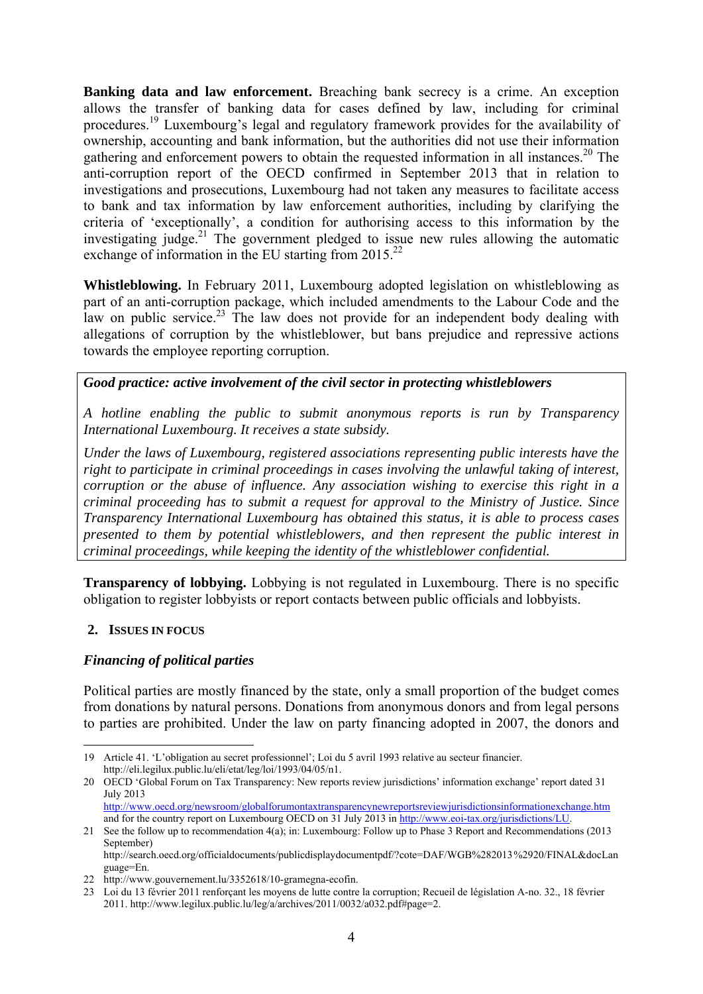**Banking data and law enforcement.** Breaching bank secrecy is a crime. An exception allows the transfer of banking data for cases defined by law, including for criminal procedures.19 Luxembourg's legal and regulatory framework provides for the availability of ownership, accounting and bank information, but the authorities did not use their information gathering and enforcement powers to obtain the requested information in all instances.<sup>20</sup> The anti-corruption report of the OECD confirmed in September 2013 that in relation to investigations and prosecutions, Luxembourg had not taken any measures to facilitate access to bank and tax information by law enforcement authorities, including by clarifying the criteria of 'exceptionally', a condition for authorising access to this information by the investigating judge.<sup>21</sup> The government pledged to issue new rules allowing the automatic exchange of information in the EU starting from  $2015^{22}$ 

**Whistleblowing.** In February 2011, Luxembourg adopted legislation on whistleblowing as part of an anti-corruption package, which included amendments to the Labour Code and the law on public service.<sup>23</sup> The law does not provide for an independent body dealing with allegations of corruption by the whistleblower, but bans prejudice and repressive actions towards the employee reporting corruption.

## *Good practice: active involvement of the civil sector in protecting whistleblowers*

*A hotline enabling the public to submit anonymous reports is run by Transparency International Luxembourg. It receives a state subsidy.* 

*Under the laws of Luxembourg, registered associations representing public interests have the right to participate in criminal proceedings in cases involving the unlawful taking of interest, corruption or the abuse of influence. Any association wishing to exercise this right in a criminal proceeding has to submit a request for approval to the Ministry of Justice. Since Transparency International Luxembourg has obtained this status, it is able to process cases presented to them by potential whistleblowers, and then represent the public interest in criminal proceedings, while keeping the identity of the whistleblower confidential.* 

**Transparency of lobbying.** Lobbying is not regulated in Luxembourg. There is no specific obligation to register lobbyists or report contacts between public officials and lobbyists.

#### **2. ISSUES IN FOCUS**

1

#### *Financing of political parties*

Political parties are mostly financed by the state, only a small proportion of the budget comes from donations by natural persons. Donations from anonymous donors and from legal persons to parties are prohibited. Under the law on party financing adopted in 2007, the donors and

<sup>19</sup> Article 41. 'L'obligation au secret professionnel'; Loi du 5 avril 1993 relative au secteur financier. http://eli.legilux.public.lu/eli/etat/leg/loi/1993/04/05/n1.

<sup>20</sup> OECD 'Global Forum on Tax Transparency: New reports review jurisdictions' information exchange' report dated 31 July 2013

[http://www.oecd.org/newsroom/globalforumontaxtransparencynewreportsreviewjurisdictionsinformationexchange](http://www.oecd.org/newsroom/globalforumontaxtransparencynewreportsreviewjurisdictionsinformationexchange.htm).htm and for the country report on Luxembourg OECD on 31 July 2013 i[n http://www.eoi-tax.org/jurisdictions/LU.](http://www.eoi-tax.org/jurisdictions/LU) 

<sup>21</sup> See the follow up to recommendation 4(a); in: Luxembourg: Follow up to Phase 3 Report and Recommendations (2013 September) http://search.oecd.org/officialdocuments/publicdisplaydocumentpdf/?cote=DAF/WGB%282013%2920/FINAL&docLan

guage=En.

<sup>22</sup> http://www.gouvernement.lu/3352618/10-gramegna-ecofin.

<sup>23</sup> Loi du 13 février 2011 renforçant les moyens de lutte contre la corruption; Recueil de législation A-no. 32., 18 février 2011. http://www.legilux.public.lu/leg/a/archives/2011/0032/a032.pdf#page=2.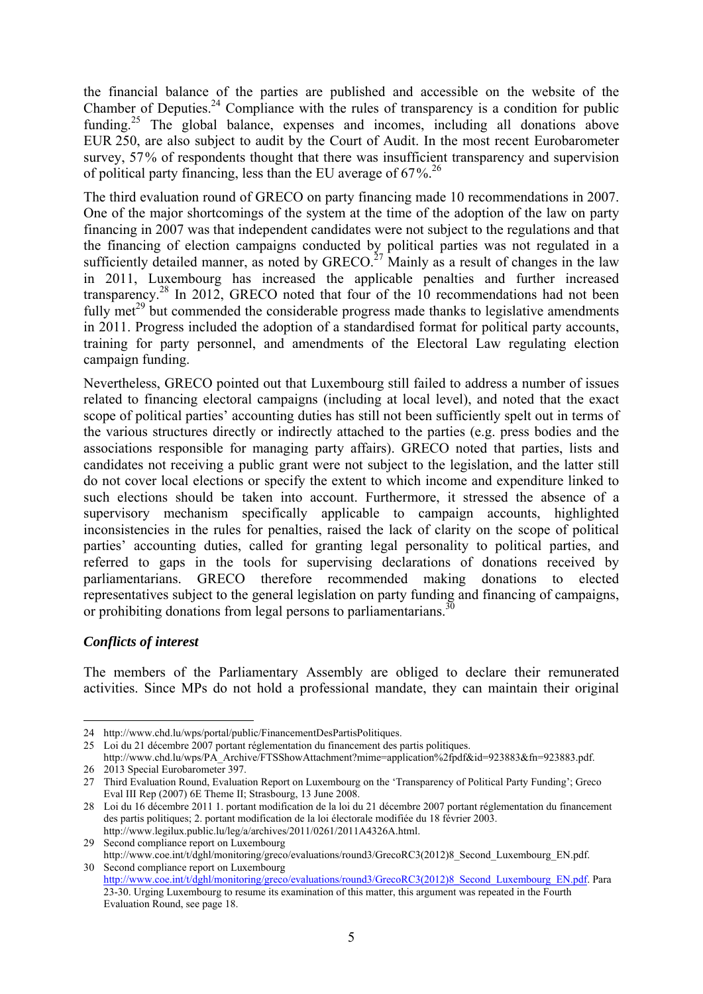the financial balance of the parties are published and accessible on the website of the Chamber of Deputies.<sup>24</sup> Compliance with the rules of transparency is a condition for public funding.<sup>25</sup> The global balance, expenses and incomes, including all donations above EUR 250, are also subject to audit by the Court of Audit. In the most recent Eurobarometer survey, 57% of respondents thought that there was insufficient transparency and supervision of political party financing, less than the EU average of  $67\%$ <sup>26</sup>

The third evaluation round of GRECO on party financing made 10 recommendations in 2007. One of the major shortcomings of the system at the time of the adoption of the law on party financing in 2007 was that independent candidates were not subject to the regulations and that the financing of election campaigns conducted by political parties was not regulated in a sufficiently detailed manner, as noted by  $GRECO<sup>27</sup>$  Mainly as a result of changes in the law in 2011, Luxembourg has increased the applicable penalties and further increased transparency.28 In 2012, GRECO noted that four of the 10 recommendations had not been fully met<sup>29</sup> but commended the considerable progress made thanks to legislative amendments in 2011. Progress included the adoption of a standardised format for political party accounts, training for party personnel, and amendments of the Electoral Law regulating election campaign funding.

Nevertheless, GRECO pointed out that Luxembourg still failed to address a number of issues related to financing electoral campaigns (including at local level), and noted that the exact scope of political parties' accounting duties has still not been sufficiently spelt out in terms of the various structures directly or indirectly attached to the parties (e.g. press bodies and the associations responsible for managing party affairs). GRECO noted that parties, lists and candidates not receiving a public grant were not subject to the legislation, and the latter still do not cover local elections or specify the extent to which income and expenditure linked to such elections should be taken into account. Furthermore, it stressed the absence of a supervisory mechanism specifically applicable to campaign accounts, highlighted inconsistencies in the rules for penalties, raised the lack of clarity on the scope of political parties' accounting duties, called for granting legal personality to political parties, and referred to gaps in the tools for supervising declarations of donations received by parliamentarians. GRECO therefore recommended making donations to elected representatives subject to the general legislation on party funding and financing of campaigns, or prohibiting donations from legal persons to parliamentarians. $30$ 

## *Conflicts of interest*

1

The members of the Parliamentary Assembly are obliged to declare their remunerated activities. Since MPs do not hold a professional mandate, they can maintain their original

http://www.legilux.public.lu/leg/a/archives/2011/0261/2011A4326A.html. 29 Second compliance report on Luxembourg

<sup>24</sup> http://www.chd.lu/wps/portal/public/FinancementDesPartisPolitiques.

<sup>25</sup> Loi du 21 décembre 2007 portant réglementation du financement des partis politiques. http://www.chd.lu/wps/PA\_Archive/FTSShowAttachment?mime=application%2fpdf&id=923883&fn=923883.pdf.

<sup>26 2013</sup> Special Eurobarometer 397.

<sup>27</sup> Third Evaluation Round, Evaluation Report on Luxembourg on the 'Transparency of Political Party Funding'; Greco Eval III Rep (2007) 6E Theme II; Strasbourg, 13 June 2008.

<sup>28</sup> Loi du 16 décembre 2011 1. portant modification de la loi du 21 décembre 2007 portant réglementation du financement des partis politiques; 2. portant modification de la loi électorale modifiée du 18 février 2003.

http://www.coe.int/t/dghl/monitoring/greco/evaluations/round3/GrecoRC3(2012)8\_Second\_Luxembourg\_EN.pdf. 30 Second compliance report on Luxembourg

[http://www.coe.int/t/dghl/monitoring/greco/evaluations/round3/GrecoRC3\(2012\)](http://www.coe.int/t/dghl/monitoring/greco/evaluations/round3/GrecoRC3(2012)8_Second_Luxembourg_EN.pdf)8\_Second\_Luxembourg\_EN.pdf. Para 23-30. Urging Luxembourg to resume its examination of this matter, this argument was repeated in the Fourth Evaluation Round, see page 18.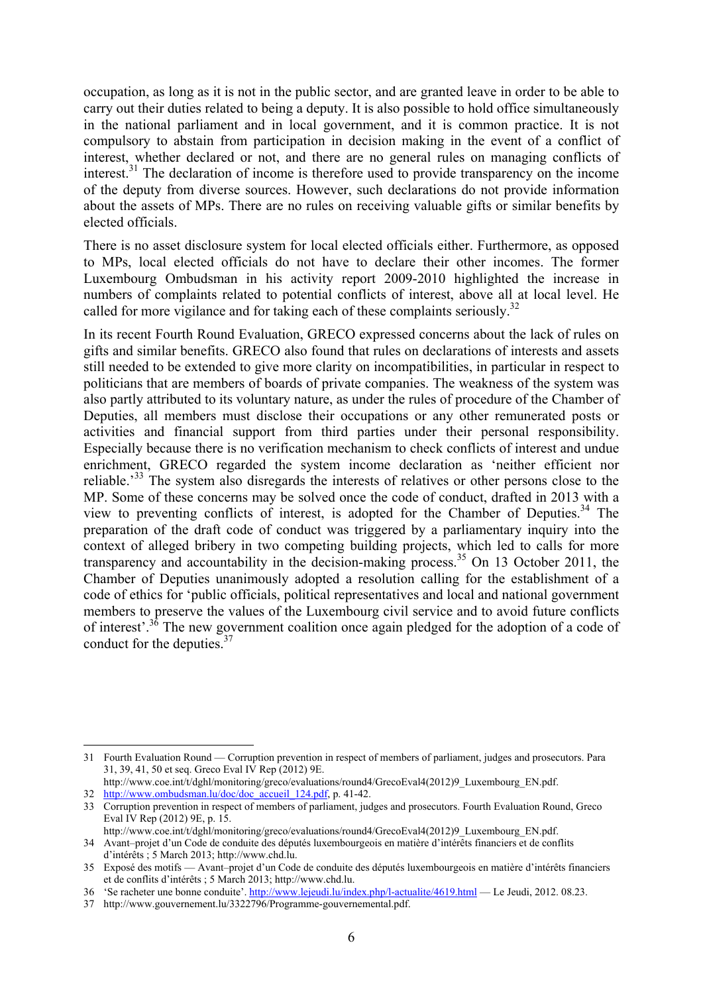occupation, as long as it is not in the public sector, and are granted leave in order to be able to carry out their duties related to being a deputy. It is also possible to hold office simultaneously in the national parliament and in local government, and it is common practice. It is not compulsory to abstain from participation in decision making in the event of a conflict of interest, whether declared or not, and there are no general rules on managing conflicts of interest.<sup>31</sup> The declaration of income is therefore used to provide transparency on the income of the deputy from diverse sources. However, such declarations do not provide information about the assets of MPs. There are no rules on receiving valuable gifts or similar benefits by elected officials.

There is no asset disclosure system for local elected officials either. Furthermore, as opposed to MPs, local elected officials do not have to declare their other incomes. The former Luxembourg Ombudsman in his activity report 2009-2010 highlighted the increase in numbers of complaints related to potential conflicts of interest, above all at local level. He called for more vigilance and for taking each of these complaints seriously.<sup>32</sup>

In its recent Fourth Round Evaluation, GRECO expressed concerns about the lack of rules on gifts and similar benefits. GRECO also found that rules on declarations of interests and assets still needed to be extended to give more clarity on incompatibilities, in particular in respect to politicians that are members of boards of private companies. The weakness of the system was also partly attributed to its voluntary nature, as under the rules of procedure of the Chamber of Deputies, all members must disclose their occupations or any other remunerated posts or activities and financial support from third parties under their personal responsibility. Especially because there is no verification mechanism to check conflicts of interest and undue enrichment, GRECO regarded the system income declaration as 'neither efficient nor reliable.<sup>33</sup> The system also disregards the interests of relatives or other persons close to the MP. Some of these concerns may be solved once the code of conduct, drafted in 2013 with a view to preventing conflicts of interest, is adopted for the Chamber of Deputies.<sup>34</sup> The preparation of the draft code of conduct was triggered by a parliamentary inquiry into the context of alleged bribery in two competing building projects, which led to calls for more transparency and accountability in the decision-making process.35 On 13 October 2011, the Chamber of Deputies unanimously adopted a resolution calling for the establishment of a code of ethics for 'public officials, political representatives and local and national government members to preserve the values of the Luxembourg civil service and to avoid future conflicts of interest'.36 The new government coalition once again pledged for the adoption of a code of conduct for the deputies.<sup>37</sup>

1

<sup>31</sup> Fourth Evaluation Round — Corruption prevention in respect of members of parliament, judges and prosecutors. Para 31, 39, 41, 50 et seq. Greco Eval IV Rep (2012) 9E.

http://www.coe.int/t/dghl/monitoring/greco/evaluations/round4/GrecoEval4(2012)9\_Luxembourg\_EN.pdf. 32 http://www.ombudsman.lu/doc/doc\_accueil\_124.pdf, p. 41-42.

<sup>33</sup> Corruption prevention in respect of members of parliament, judges and prosecutors. Fourth Evaluation Round, Greco Eval IV Rep (2012) 9E, p. 15.

http://www.coe.int/t/dghl/monitoring/greco/evaluations/round4/GrecoEval4(2012)9\_Luxembourg\_EN.pdf. 34 Avant–projet d'un Code de conduite des députés luxembourgeois en matière d'intérêts financiers et de conflits d'intérêts ; 5 March 2013; http://www.chd.lu.

<sup>35</sup> Exposé des motifs — Avant–projet d'un Code de conduite des députés luxembourgeois en matière d'intérêts financiers et de conflits d'intérêts ; 5 March 2013; http://www.chd.lu.

<sup>36 &#</sup>x27;Se racheter une bonne conduite'[. http://www.lejeudi.lu/index.php/l-actualite/4619.html —](http://www.lejeudi.lu/index.php/l-actualite/4619.html) Le Jeudi, 2012. 08.23.

<sup>37</sup> http://www.gouvernement.lu/3322796/Programme-gouvernemental.pdf.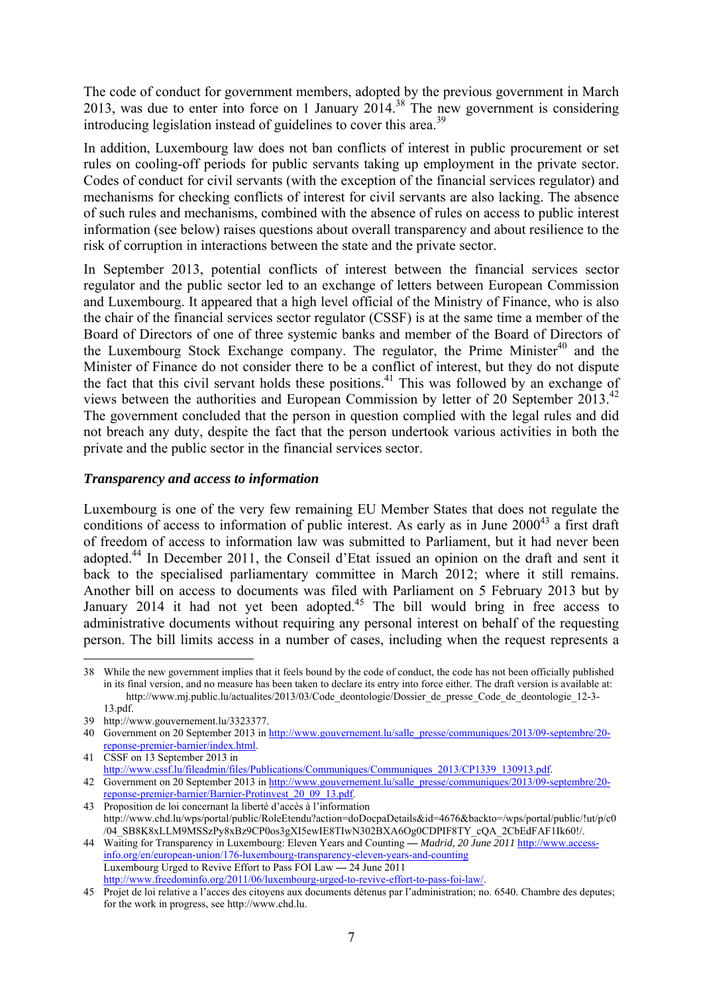The code of conduct for government members, adopted by the previous government in March 2013, was due to enter into force on 1 January 2014.38 The new government is considering introducing legislation instead of guidelines to cover this area.<sup>39</sup>

In addition, Luxembourg law does not ban conflicts of interest in public procurement or set rules on cooling-off periods for public servants taking up employment in the private sector. Codes of conduct for civil servants (with the exception of the financial services regulator) and mechanisms for checking conflicts of interest for civil servants are also lacking. The absence of such rules and mechanisms, combined with the absence of rules on access to public interest information (see below) raises questions about overall transparency and about resilience to the risk of corruption in interactions between the state and the private sector.

In September 2013, potential conflicts of interest between the financial services sector regulator and the public sector led to an exchange of letters between European Commission and Luxembourg. It appeared that a high level official of the Ministry of Finance, who is also the chair of the financial services sector regulator (CSSF) is at the same time a member of the Board of Directors of one of t[hree systemic banks and member of the Board of Directors of](http://www.gouvernement.lu/salle_presse/communiques/2013/09-septembre/20-reponse-premier-barnier/index.html) the Luxembourg Stock Exchange company. The regulator, the Prime Minister<sup>40</sup> and the Minister of Finance do not consider there to be a conflict of interest, but they do not dispute the fact that this civil servant holds these positions.<sup>41</sup> This was followed by an exchange of views between the authorities and European Commission by letter of 20 September 2013.<sup>42</sup> The government concluded that the person in question complied with the legal rules and did not breach any duty, despite the fact that the person undertook various activities in both the private and the public sector in the financial services sector.

## *Transparency and access to information*

Luxembourg is one of the very few remaining EU Member States that does not regulate the conditions of access to information of public interest. As early as in June  $2000^{43}$  a first draft of freedom of access to information law was submitted to Parliament, but it had never been adopted.44 In December 2011, the Conseil d'Etat issued an opinion on the draft and sent it back to the specialised parliamentary committee in March 2012; where it still remains. Another bill on access to documents was filed with Parliament on 5 February 2013 but by January 2014 it had not yet been adopted.<sup>45</sup> The bill would bring in free access to administrative documents without requiring any personal interest on behalf of the requesting person. The bill limits access in a number of cases, including when the request represents a

41 CSSF on 13 September 2013 in

<sup>1</sup> 38 While the new government implies that it feels bound by the code of conduct, the code has not been officially published in its final version, and no measure has been taken to declare its entry into force either. The draft version is available at: http://www.mj.public.lu/actualites/2013/03/Code\_deontologie/Dossier\_de\_presse\_Code\_de\_deontologie\_12-3-13.pdf.

<sup>39</sup> http://www.gouvernement.lu/3323377.

<sup>40</sup> Government on 20 September 2013 in http://www.gouvernement.lu/salle\_presse/communiques/2013/09-septembre/20 [reponse-premier-barnier/index.html.](http://www.gouvernement.lu/salle_presse/communiques/2013/09-septembre/20-reponse-premier-barnier/index.html) 

[http://www.cssf.lu/fileadmin/files/Publications/Communiques/Communiques\\_2013/CP1339\\_130913.pdf.](http://www.cssf.lu/fileadmin/files/Publications/Communiques/Communiques_2013/CP1339_130913.pdf)  42 Government on 20 September 2013 i[n http://www.gouvernement.lu/salle\\_presse/communiques/2013/09-septembre/20](http://www.gouvernement.lu/salle_presse/communiques/2013/09-septembre/20-reponse-premier-barnier/Barnier-Protinvest_20_09_13.pdf) [reponse-premier-barnier/Barnier-Protinvest\\_20\\_09\\_13.pdf.](http://www.gouvernement.lu/salle_presse/communiques/2013/09-septembre/20-reponse-premier-barnier/Barnier-Protinvest_20_09_13.pdf)

<sup>43</sup> Proposition de loi concernant la liberté d'accès à l'information http://www.chd.lu/wps/portal/public/RoleEtendu?action=doDocpaDetails&id=4676&backto=/wps/portal/public/!ut/p/c0 /04\_SB8K8xLLM9MSSzPy8xBz9CP0os3gXI5ewIE8TIwN302BXA6Og0CDPIF8TY\_cQA\_2CbEdFAF1Ik60!/.

<sup>44</sup> Waiting for Transparency in Luxembourg: Eleven Years and Counting **—** *Madrid, 20 June 2011* [http://www.access](http://www.access-info.org/en/european-union/176-luxembourg-transparency-eleven-years-and-counting)[info.org/en/european-union/176-luxembourg-transparency-eleven-years-and-counting](http://www.access-info.org/en/european-union/176-luxembourg-transparency-eleven-years-and-counting) Luxembourg Urged to Revive Effort to Pass FOI Law **—** 24 June 2011 [http://www.freedominfo.org/2011/06/luxembourg-urged-to-revive-effort-to-pass-foi-law/.](http://www.freedominfo.org/2011/06/luxembourg-urged-to-revive-effort-to-pass-foi-law/) 

<sup>45</sup> Projet de loi relative a l'acces des citoyens aux documents détenus par l'administration; no. 6540. Chambre des deputes; for the work in progress, see http://www.chd.lu.